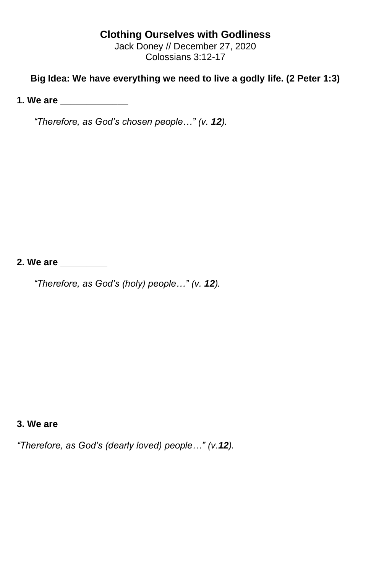## **Clothing Ourselves with Godliness**

Jack Doney // December 27, 2020 Colossians 3:12-17

## **Big Idea: We have everything we need to live a godly life. (2 Peter 1:3)**

**1. We are** 

*"Therefore, as God's chosen people…" (v. 12).*

**2. We are \_\_\_\_\_\_\_\_\_**

*"Therefore, as God's (holy) people…" (v. 12).*

**3. We are \_\_\_\_\_\_\_\_\_\_\_**

*"Therefore, as God's (dearly loved) people…" (v.12).*